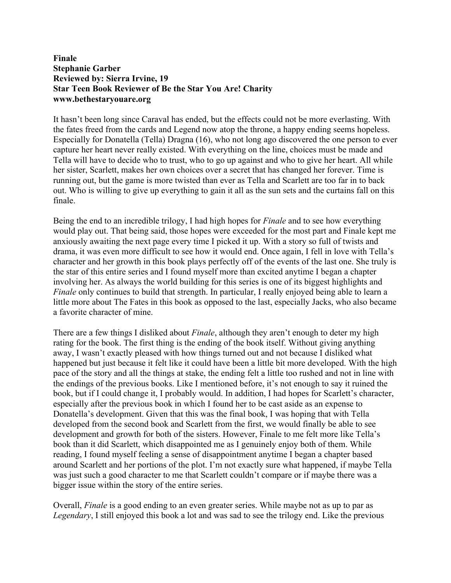## **Finale Stephanie Garber Reviewed by: Sierra Irvine, 19 Star Teen Book Reviewer of Be the Star You Are! Charity www.bethestaryouare.org**

It hasn't been long since Caraval has ended, but the effects could not be more everlasting. With the fates freed from the cards and Legend now atop the throne, a happy ending seems hopeless. Especially for Donatella (Tella) Dragna (16), who not long ago discovered the one person to ever capture her heart never really existed. With everything on the line, choices must be made and Tella will have to decide who to trust, who to go up against and who to give her heart. All while her sister, Scarlett, makes her own choices over a secret that has changed her forever. Time is running out, but the game is more twisted than ever as Tella and Scarlett are too far in to back out. Who is willing to give up everything to gain it all as the sun sets and the curtains fall on this finale.

Being the end to an incredible trilogy, I had high hopes for *Finale* and to see how everything would play out. That being said, those hopes were exceeded for the most part and Finale kept me anxiously awaiting the next page every time I picked it up. With a story so full of twists and drama, it was even more difficult to see how it would end. Once again, I fell in love with Tella's character and her growth in this book plays perfectly off of the events of the last one. She truly is the star of this entire series and I found myself more than excited anytime I began a chapter involving her. As always the world building for this series is one of its biggest highlights and *Finale* only continues to build that strength. In particular, I really enjoyed being able to learn a little more about The Fates in this book as opposed to the last, especially Jacks, who also became a favorite character of mine.

There are a few things I disliked about *Finale*, although they aren't enough to deter my high rating for the book. The first thing is the ending of the book itself. Without giving anything away, I wasn't exactly pleased with how things turned out and not because I disliked what happened but just because it felt like it could have been a little bit more developed. With the high pace of the story and all the things at stake, the ending felt a little too rushed and not in line with the endings of the previous books. Like I mentioned before, it's not enough to say it ruined the book, but if I could change it, I probably would. In addition, I had hopes for Scarlett's character, especially after the previous book in which I found her to be cast aside as an expense to Donatella's development. Given that this was the final book, I was hoping that with Tella developed from the second book and Scarlett from the first, we would finally be able to see development and growth for both of the sisters. However, Finale to me felt more like Tella's book than it did Scarlett, which disappointed me as I genuinely enjoy both of them. While reading, I found myself feeling a sense of disappointment anytime I began a chapter based around Scarlett and her portions of the plot. I'm not exactly sure what happened, if maybe Tella was just such a good character to me that Scarlett couldn't compare or if maybe there was a bigger issue within the story of the entire series.

Overall, *Finale* is a good ending to an even greater series. While maybe not as up to par as *Legendary*, I still enjoyed this book a lot and was sad to see the trilogy end. Like the previous